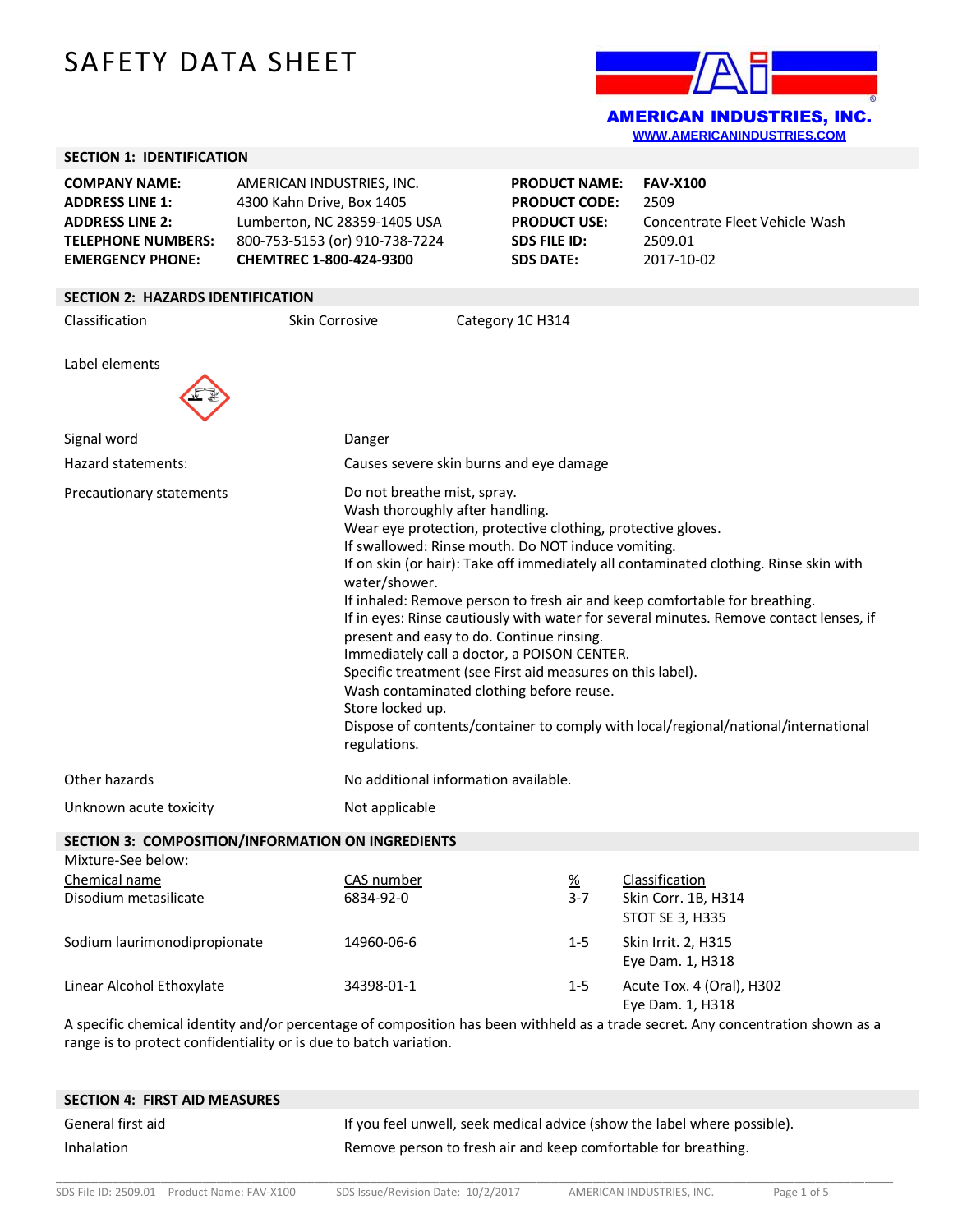# SAFETY DATA SHEET



|                                                                                                                                  |                                                                                   |                                                                                                                                                                                                                                                                                                                                                                                                                                                                                                                                                                                                                                                                                                                                                                                                        |                  |                                                                                                                | <u>www.awendamindojineo.com</u>                                                    |
|----------------------------------------------------------------------------------------------------------------------------------|-----------------------------------------------------------------------------------|--------------------------------------------------------------------------------------------------------------------------------------------------------------------------------------------------------------------------------------------------------------------------------------------------------------------------------------------------------------------------------------------------------------------------------------------------------------------------------------------------------------------------------------------------------------------------------------------------------------------------------------------------------------------------------------------------------------------------------------------------------------------------------------------------------|------------------|----------------------------------------------------------------------------------------------------------------|------------------------------------------------------------------------------------|
| <b>SECTION 1: IDENTIFICATION</b>                                                                                                 |                                                                                   |                                                                                                                                                                                                                                                                                                                                                                                                                                                                                                                                                                                                                                                                                                                                                                                                        |                  |                                                                                                                |                                                                                    |
| <b>COMPANY NAME:</b><br><b>ADDRESS LINE 1:</b><br><b>ADDRESS LINE 2:</b><br><b>TELEPHONE NUMBERS:</b><br><b>EMERGENCY PHONE:</b> | AMERICAN INDUSTRIES, INC.<br>4300 Kahn Drive, Box 1405<br>CHEMTREC 1-800-424-9300 | Lumberton, NC 28359-1405 USA<br>800-753-5153 (or) 910-738-7224                                                                                                                                                                                                                                                                                                                                                                                                                                                                                                                                                                                                                                                                                                                                         |                  | <b>PRODUCT NAME:</b><br><b>PRODUCT CODE:</b><br><b>PRODUCT USE:</b><br><b>SDS FILE ID:</b><br><b>SDS DATE:</b> | <b>FAV-X100</b><br>2509<br>Concentrate Fleet Vehicle Wash<br>2509.01<br>2017-10-02 |
| <b>SECTION 2: HAZARDS IDENTIFICATION</b>                                                                                         |                                                                                   |                                                                                                                                                                                                                                                                                                                                                                                                                                                                                                                                                                                                                                                                                                                                                                                                        |                  |                                                                                                                |                                                                                    |
| Classification                                                                                                                   | Skin Corrosive                                                                    |                                                                                                                                                                                                                                                                                                                                                                                                                                                                                                                                                                                                                                                                                                                                                                                                        | Category 1C H314 |                                                                                                                |                                                                                    |
| Label elements                                                                                                                   |                                                                                   |                                                                                                                                                                                                                                                                                                                                                                                                                                                                                                                                                                                                                                                                                                                                                                                                        |                  |                                                                                                                |                                                                                    |
| Signal word                                                                                                                      |                                                                                   | Danger                                                                                                                                                                                                                                                                                                                                                                                                                                                                                                                                                                                                                                                                                                                                                                                                 |                  |                                                                                                                |                                                                                    |
| Hazard statements:                                                                                                               |                                                                                   | Causes severe skin burns and eye damage                                                                                                                                                                                                                                                                                                                                                                                                                                                                                                                                                                                                                                                                                                                                                                |                  |                                                                                                                |                                                                                    |
| Precautionary statements                                                                                                         |                                                                                   | Do not breathe mist, spray.<br>Wash thoroughly after handling.<br>Wear eye protection, protective clothing, protective gloves.<br>If swallowed: Rinse mouth. Do NOT induce vomiting.<br>If on skin (or hair): Take off immediately all contaminated clothing. Rinse skin with<br>water/shower.<br>If inhaled: Remove person to fresh air and keep comfortable for breathing.<br>If in eyes: Rinse cautiously with water for several minutes. Remove contact lenses, if<br>present and easy to do. Continue rinsing.<br>Immediately call a doctor, a POISON CENTER.<br>Specific treatment (see First aid measures on this label).<br>Wash contaminated clothing before reuse.<br>Store locked up.<br>Dispose of contents/container to comply with local/regional/national/international<br>regulations. |                  |                                                                                                                |                                                                                    |
| Other hazards                                                                                                                    | No additional information available.                                              |                                                                                                                                                                                                                                                                                                                                                                                                                                                                                                                                                                                                                                                                                                                                                                                                        |                  |                                                                                                                |                                                                                    |
| Unknown acute toxicity                                                                                                           |                                                                                   | Not applicable                                                                                                                                                                                                                                                                                                                                                                                                                                                                                                                                                                                                                                                                                                                                                                                         |                  |                                                                                                                |                                                                                    |
| SECTION 3: COMPOSITION/INFORMATION ON INGREDIENTS                                                                                |                                                                                   |                                                                                                                                                                                                                                                                                                                                                                                                                                                                                                                                                                                                                                                                                                                                                                                                        |                  |                                                                                                                |                                                                                    |
| Mixture-See below:                                                                                                               |                                                                                   |                                                                                                                                                                                                                                                                                                                                                                                                                                                                                                                                                                                                                                                                                                                                                                                                        |                  |                                                                                                                |                                                                                    |
| Chemical name<br>Disodium metasilicate                                                                                           |                                                                                   | CAS number<br>6834-92-0                                                                                                                                                                                                                                                                                                                                                                                                                                                                                                                                                                                                                                                                                                                                                                                |                  | $\frac{\%}{\%}$<br>$3 - 7$                                                                                     | Classification<br>Skin Corr. 1B, H314<br>STOT SE 3, H335                           |
| Sodium laurimonodipropionate                                                                                                     |                                                                                   | 14960-06-6                                                                                                                                                                                                                                                                                                                                                                                                                                                                                                                                                                                                                                                                                                                                                                                             |                  | $1 - 5$                                                                                                        | Skin Irrit. 2, H315<br>Eye Dam. 1, H318                                            |
| Linear Alcohol Ethoxylate                                                                                                        |                                                                                   | 34398-01-1                                                                                                                                                                                                                                                                                                                                                                                                                                                                                                                                                                                                                                                                                                                                                                                             |                  | $1 - 5$                                                                                                        | Acute Tox. 4 (Oral), H302<br>Eye Dam. 1, H318                                      |

A specific chemical identity and/or percentage of composition has been withheld as a trade secret. Any concentration shown as a range is to protect confidentiality or is due to batch variation.

| <b>SECTION 4: FIRST AID MEASURES</b> |                                                                          |
|--------------------------------------|--------------------------------------------------------------------------|
| General first aid                    | If you feel unwell, seek medical advice (show the label where possible). |
| Inhalation                           | Remove person to fresh air and keep comfortable for breathing.           |

\_\_\_\_\_\_\_\_\_\_\_\_\_\_\_\_\_\_\_\_\_\_\_\_\_\_\_\_\_\_\_\_\_\_\_\_\_\_\_\_\_\_\_\_\_\_\_\_\_\_\_\_\_\_\_\_\_\_\_\_\_\_\_\_\_\_\_\_\_\_\_\_\_\_\_\_\_\_\_\_\_\_\_\_\_\_\_\_\_\_\_\_\_\_\_\_\_\_\_\_\_\_\_\_\_\_\_\_\_\_\_\_\_\_\_\_\_\_\_\_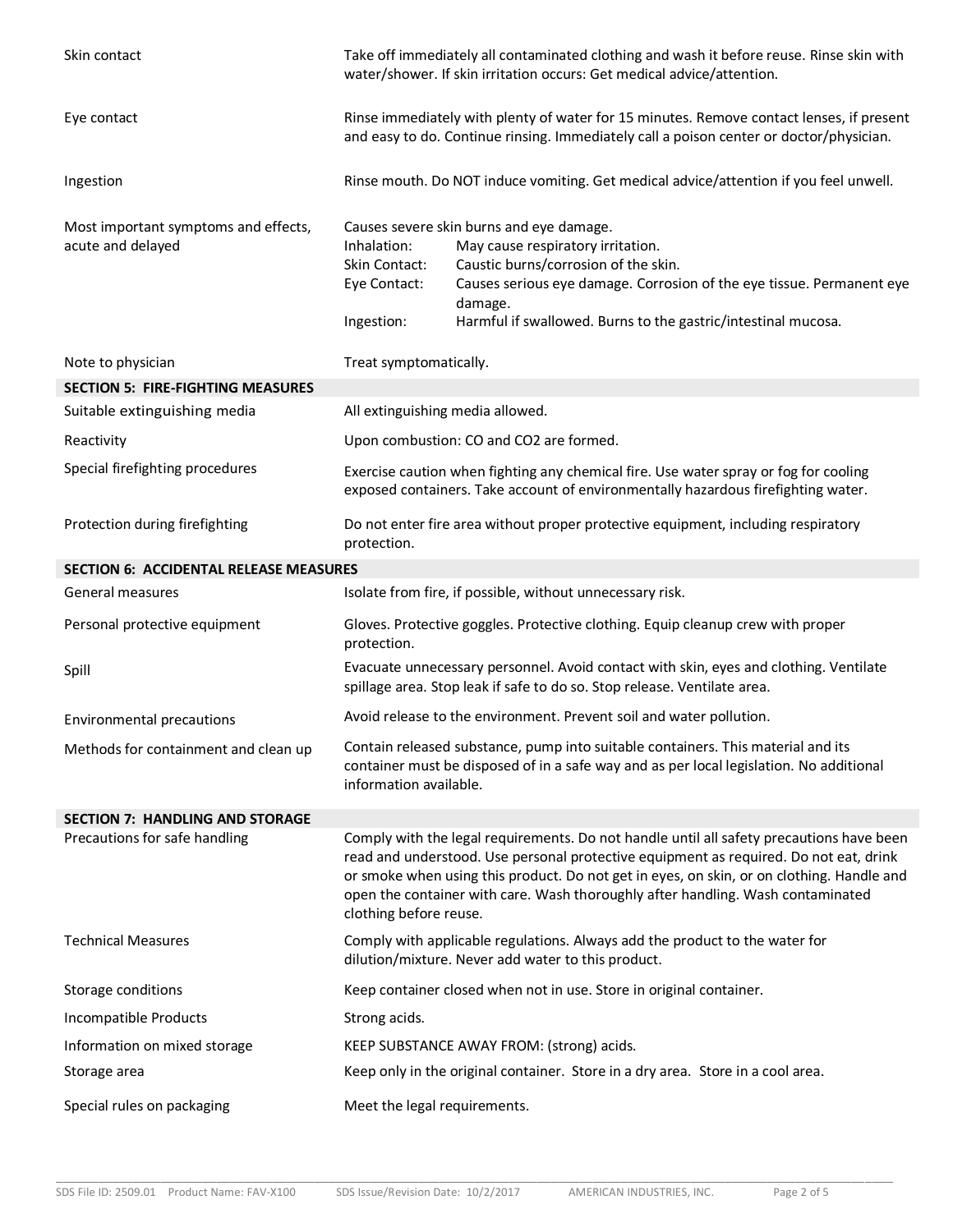| Skin contact                                              | Take off immediately all contaminated clothing and wash it before reuse. Rinse skin with<br>water/shower. If skin irritation occurs: Get medical advice/attention.                                                                                                                                                                                                                          |                                                                                                                                                                                                                                                                            |  |
|-----------------------------------------------------------|---------------------------------------------------------------------------------------------------------------------------------------------------------------------------------------------------------------------------------------------------------------------------------------------------------------------------------------------------------------------------------------------|----------------------------------------------------------------------------------------------------------------------------------------------------------------------------------------------------------------------------------------------------------------------------|--|
| Eye contact                                               | Rinse immediately with plenty of water for 15 minutes. Remove contact lenses, if present<br>and easy to do. Continue rinsing. Immediately call a poison center or doctor/physician.                                                                                                                                                                                                         |                                                                                                                                                                                                                                                                            |  |
| Ingestion                                                 | Rinse mouth. Do NOT induce vomiting. Get medical advice/attention if you feel unwell.                                                                                                                                                                                                                                                                                                       |                                                                                                                                                                                                                                                                            |  |
| Most important symptoms and effects,<br>acute and delayed | Inhalation:<br>Skin Contact:<br>Eye Contact:<br>Ingestion:                                                                                                                                                                                                                                                                                                                                  | Causes severe skin burns and eye damage.<br>May cause respiratory irritation.<br>Caustic burns/corrosion of the skin.<br>Causes serious eye damage. Corrosion of the eye tissue. Permanent eye<br>damage.<br>Harmful if swallowed. Burns to the gastric/intestinal mucosa. |  |
| Note to physician                                         | Treat symptomatically.                                                                                                                                                                                                                                                                                                                                                                      |                                                                                                                                                                                                                                                                            |  |
| <b>SECTION 5: FIRE-FIGHTING MEASURES</b>                  |                                                                                                                                                                                                                                                                                                                                                                                             |                                                                                                                                                                                                                                                                            |  |
| Suitable extinguishing media                              | All extinguishing media allowed.                                                                                                                                                                                                                                                                                                                                                            |                                                                                                                                                                                                                                                                            |  |
| Reactivity                                                | Upon combustion: CO and CO2 are formed.                                                                                                                                                                                                                                                                                                                                                     |                                                                                                                                                                                                                                                                            |  |
| Special firefighting procedures                           | Exercise caution when fighting any chemical fire. Use water spray or fog for cooling<br>exposed containers. Take account of environmentally hazardous firefighting water.                                                                                                                                                                                                                   |                                                                                                                                                                                                                                                                            |  |
| Protection during firefighting                            | Do not enter fire area without proper protective equipment, including respiratory<br>protection.                                                                                                                                                                                                                                                                                            |                                                                                                                                                                                                                                                                            |  |
| <b>SECTION 6: ACCIDENTAL RELEASE MEASURES</b>             |                                                                                                                                                                                                                                                                                                                                                                                             |                                                                                                                                                                                                                                                                            |  |
| <b>General measures</b>                                   | Isolate from fire, if possible, without unnecessary risk.                                                                                                                                                                                                                                                                                                                                   |                                                                                                                                                                                                                                                                            |  |
| Personal protective equipment                             | Gloves. Protective goggles. Protective clothing. Equip cleanup crew with proper<br>protection.                                                                                                                                                                                                                                                                                              |                                                                                                                                                                                                                                                                            |  |
| Spill                                                     | Evacuate unnecessary personnel. Avoid contact with skin, eyes and clothing. Ventilate<br>spillage area. Stop leak if safe to do so. Stop release. Ventilate area.                                                                                                                                                                                                                           |                                                                                                                                                                                                                                                                            |  |
| <b>Environmental precautions</b>                          | Avoid release to the environment. Prevent soil and water pollution.                                                                                                                                                                                                                                                                                                                         |                                                                                                                                                                                                                                                                            |  |
| Methods for containment and clean up                      | Contain released substance, pump into suitable containers. This material and its<br>container must be disposed of in a safe way and as per local legislation. No additional<br>information available.                                                                                                                                                                                       |                                                                                                                                                                                                                                                                            |  |
| <b>SECTION 7: HANDLING AND STORAGE</b>                    |                                                                                                                                                                                                                                                                                                                                                                                             |                                                                                                                                                                                                                                                                            |  |
| Precautions for safe handling                             | Comply with the legal requirements. Do not handle until all safety precautions have been<br>read and understood. Use personal protective equipment as required. Do not eat, drink<br>or smoke when using this product. Do not get in eyes, on skin, or on clothing. Handle and<br>open the container with care. Wash thoroughly after handling. Wash contaminated<br>clothing before reuse. |                                                                                                                                                                                                                                                                            |  |
| <b>Technical Measures</b>                                 | Comply with applicable regulations. Always add the product to the water for<br>dilution/mixture. Never add water to this product.                                                                                                                                                                                                                                                           |                                                                                                                                                                                                                                                                            |  |
| Storage conditions                                        | Keep container closed when not in use. Store in original container.                                                                                                                                                                                                                                                                                                                         |                                                                                                                                                                                                                                                                            |  |
| Incompatible Products                                     | Strong acids.                                                                                                                                                                                                                                                                                                                                                                               |                                                                                                                                                                                                                                                                            |  |
| Information on mixed storage                              |                                                                                                                                                                                                                                                                                                                                                                                             | KEEP SUBSTANCE AWAY FROM: (strong) acids.                                                                                                                                                                                                                                  |  |
| Storage area                                              | Keep only in the original container. Store in a dry area. Store in a cool area.                                                                                                                                                                                                                                                                                                             |                                                                                                                                                                                                                                                                            |  |
| Special rules on packaging                                | Meet the legal requirements.                                                                                                                                                                                                                                                                                                                                                                |                                                                                                                                                                                                                                                                            |  |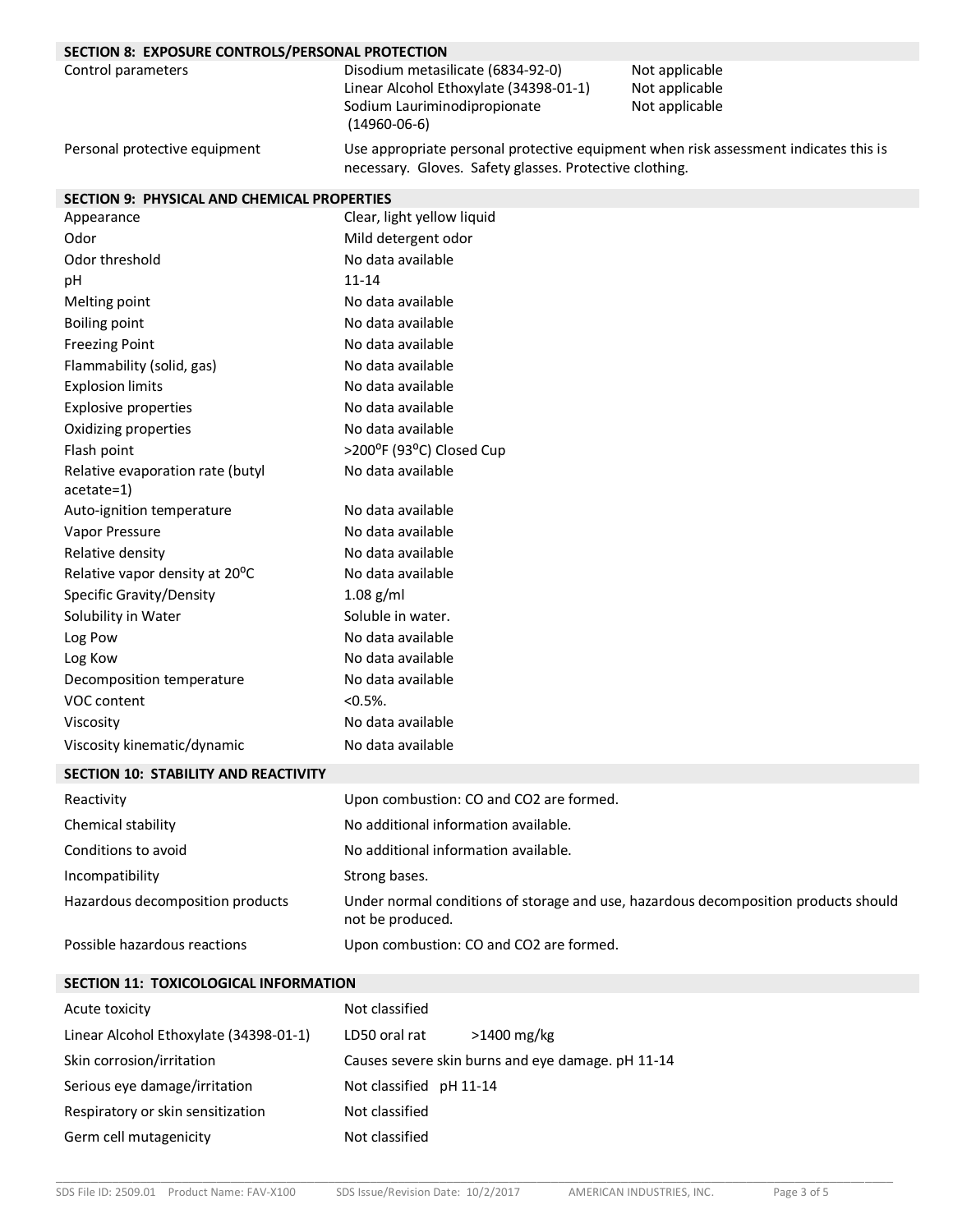| SECTION 8: EXPOSURE CONTROLS/PERSONAL PROTECTION |                                                                                                                                                 |                                                    |  |
|--------------------------------------------------|-------------------------------------------------------------------------------------------------------------------------------------------------|----------------------------------------------------|--|
| Control parameters                               | Disodium metasilicate (6834-92-0)<br>Linear Alcohol Ethoxylate (34398-01-1)<br>Sodium Lauriminodipropionate<br>$(14960-06-6)$                   | Not applicable<br>Not applicable<br>Not applicable |  |
| Personal protective equipment                    | Use appropriate personal protective equipment when risk assessment indicates this is<br>necessary. Gloves. Safety glasses. Protective clothing. |                                                    |  |
| SECTION 9: PHYSICAL AND CHEMICAL PROPERTIES      |                                                                                                                                                 |                                                    |  |
| Appearance                                       | Clear, light yellow liquid                                                                                                                      |                                                    |  |
| Odor                                             | Mild detergent odor                                                                                                                             |                                                    |  |
| Odor threshold                                   | No data available                                                                                                                               |                                                    |  |
| pH                                               | $11 - 14$                                                                                                                                       |                                                    |  |
| Melting point                                    | No data available                                                                                                                               |                                                    |  |
| <b>Boiling point</b>                             | No data available                                                                                                                               |                                                    |  |
| <b>Freezing Point</b>                            | No data available                                                                                                                               |                                                    |  |
| Flammability (solid, gas)                        | No data available                                                                                                                               |                                                    |  |
| <b>Explosion limits</b>                          | No data available                                                                                                                               |                                                    |  |
| <b>Explosive properties</b>                      | No data available                                                                                                                               |                                                    |  |
| Oxidizing properties                             | No data available                                                                                                                               |                                                    |  |
| Flash point                                      | >200°F (93°C) Closed Cup                                                                                                                        |                                                    |  |
| Relative evaporation rate (butyl<br>acetate=1)   | No data available                                                                                                                               |                                                    |  |
| Auto-ignition temperature                        | No data available                                                                                                                               |                                                    |  |
| Vapor Pressure                                   | No data available                                                                                                                               |                                                    |  |
| Relative density                                 | No data available                                                                                                                               |                                                    |  |
| Relative vapor density at 20°C                   | No data available                                                                                                                               |                                                    |  |
| Specific Gravity/Density                         | $1.08$ g/ml                                                                                                                                     |                                                    |  |
| Solubility in Water                              | Soluble in water.                                                                                                                               |                                                    |  |
| Log Pow                                          | No data available                                                                                                                               |                                                    |  |
| Log Kow                                          | No data available                                                                                                                               |                                                    |  |
| Decomposition temperature                        | No data available                                                                                                                               |                                                    |  |
| VOC content                                      | $< 0.5\%$ .                                                                                                                                     |                                                    |  |
| Viscosity                                        | No data available                                                                                                                               |                                                    |  |
| Viscosity kinematic/dynamic                      | No data available                                                                                                                               |                                                    |  |

### **SECTION 10: STABILITY AND REACTIVITY**

| Reactivity                       | Upon combustion: CO and CO2 are formed.                                                                 |
|----------------------------------|---------------------------------------------------------------------------------------------------------|
| Chemical stability               | No additional information available.                                                                    |
| Conditions to avoid              | No additional information available.                                                                    |
| Incompatibility                  | Strong bases.                                                                                           |
| Hazardous decomposition products | Under normal conditions of storage and use, hazardous decomposition products should<br>not be produced. |
| Possible hazardous reactions     | Upon combustion: CO and CO2 are formed.                                                                 |

#### **SECTION 11: TOXICOLOGICAL INFORMATION**

| Acute toxicity                         | Not classified                                    |
|----------------------------------------|---------------------------------------------------|
| Linear Alcohol Ethoxylate (34398-01-1) | $>1400$ mg/kg<br>LD50 oral rat                    |
| Skin corrosion/irritation              | Causes severe skin burns and eye damage. pH 11-14 |
| Serious eye damage/irritation          | Not classified pH 11-14                           |
| Respiratory or skin sensitization      | Not classified                                    |
| Germ cell mutagenicity                 | Not classified                                    |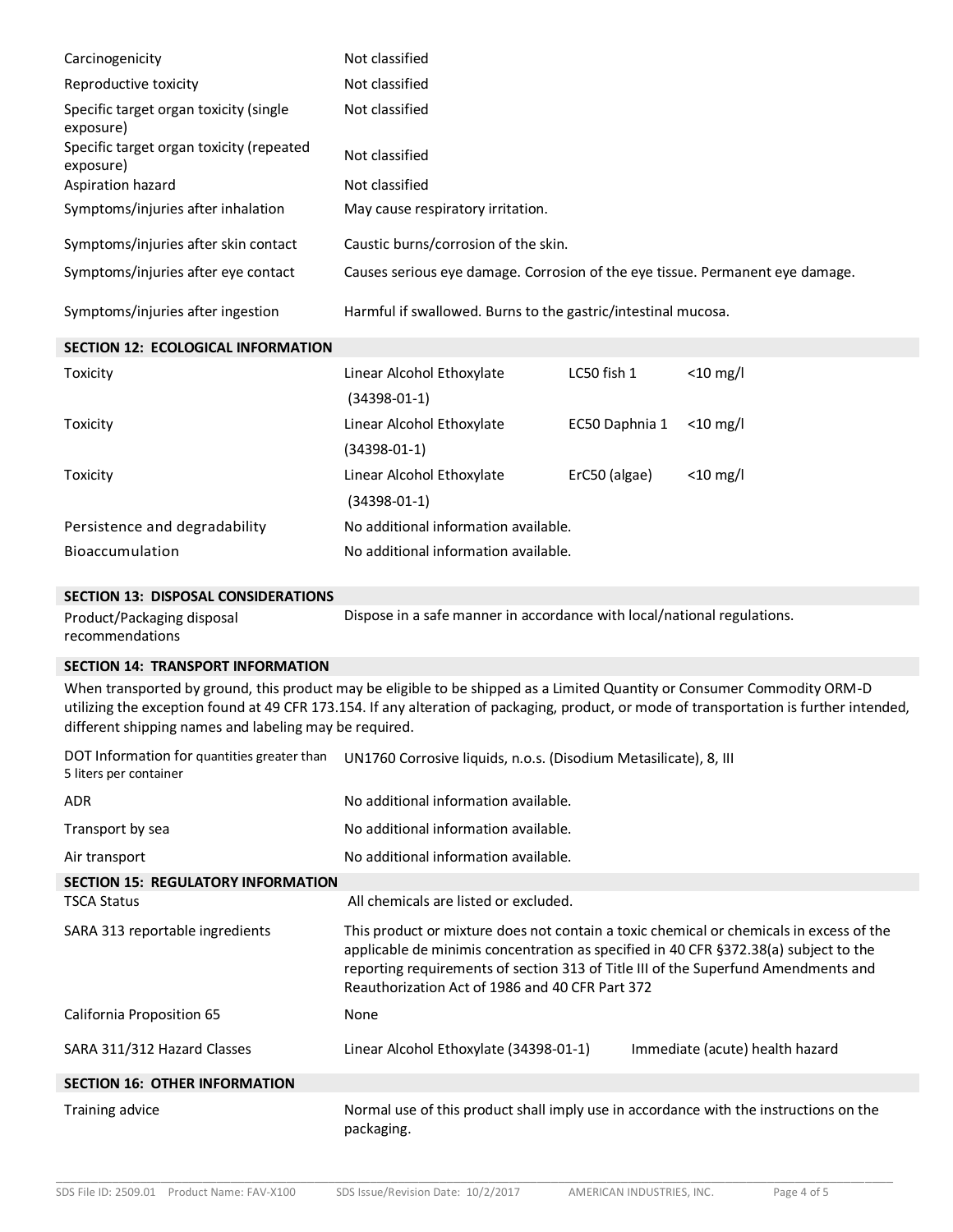| Carcinogenicity                                                                                                                                                                                                                                                                                                                | Not classified                                                                |                |             |
|--------------------------------------------------------------------------------------------------------------------------------------------------------------------------------------------------------------------------------------------------------------------------------------------------------------------------------|-------------------------------------------------------------------------------|----------------|-------------|
| Reproductive toxicity                                                                                                                                                                                                                                                                                                          | Not classified                                                                |                |             |
| Specific target organ toxicity (single<br>exposure)                                                                                                                                                                                                                                                                            | Not classified                                                                |                |             |
| Specific target organ toxicity (repeated<br>exposure)                                                                                                                                                                                                                                                                          | Not classified                                                                |                |             |
| Aspiration hazard                                                                                                                                                                                                                                                                                                              | Not classified                                                                |                |             |
| Symptoms/injuries after inhalation                                                                                                                                                                                                                                                                                             | May cause respiratory irritation.                                             |                |             |
| Symptoms/injuries after skin contact                                                                                                                                                                                                                                                                                           | Caustic burns/corrosion of the skin.                                          |                |             |
| Symptoms/injuries after eye contact                                                                                                                                                                                                                                                                                            | Causes serious eye damage. Corrosion of the eye tissue. Permanent eye damage. |                |             |
| Symptoms/injuries after ingestion                                                                                                                                                                                                                                                                                              | Harmful if swallowed. Burns to the gastric/intestinal mucosa.                 |                |             |
| SECTION 12: ECOLOGICAL INFORMATION                                                                                                                                                                                                                                                                                             |                                                                               |                |             |
| Toxicity                                                                                                                                                                                                                                                                                                                       | Linear Alcohol Ethoxylate<br>$(34398 - 01 - 1)$                               | LC50 fish 1    | $<$ 10 mg/l |
| Toxicity                                                                                                                                                                                                                                                                                                                       | Linear Alcohol Ethoxylate<br>$(34398 - 01 - 1)$                               | EC50 Daphnia 1 | $<$ 10 mg/l |
| Toxicity                                                                                                                                                                                                                                                                                                                       | Linear Alcohol Ethoxylate<br>$(34398 - 01 - 1)$                               | ErC50 (algae)  | $<$ 10 mg/l |
| Persistence and degradability                                                                                                                                                                                                                                                                                                  | No additional information available.                                          |                |             |
| Bioaccumulation                                                                                                                                                                                                                                                                                                                | No additional information available.                                          |                |             |
| <b>SECTION 13: DISPOSAL CONSIDERATIONS</b>                                                                                                                                                                                                                                                                                     |                                                                               |                |             |
| Product/Packaging disposal<br>recommendations                                                                                                                                                                                                                                                                                  | Dispose in a safe manner in accordance with local/national regulations.       |                |             |
| <b>SECTION 14: TRANSPORT INFORMATION</b>                                                                                                                                                                                                                                                                                       |                                                                               |                |             |
| When transported by ground, this product may be eligible to be shipped as a Limited Quantity or Consumer Commodity ORM-D<br>utilizing the exception found at 49 CFR 173.154. If any alteration of packaging, product, or mode of transportation is further intended,<br>different shipping names and labeling may be required. |                                                                               |                |             |
| DOT Information for quantities greater than<br>UN1760 Corrosive liquids, n.o.s. (Disodium Metasilicate), 8, III<br>5 liters per container                                                                                                                                                                                      |                                                                               |                |             |
| ADR                                                                                                                                                                                                                                                                                                                            | No additional information available.                                          |                |             |
| Transport by sea                                                                                                                                                                                                                                                                                                               | No additional information available.                                          |                |             |
| Air transport                                                                                                                                                                                                                                                                                                                  | No additional information available.                                          |                |             |
| <b>SECTION 15: REGULATORY INFORMATION</b>                                                                                                                                                                                                                                                                                      |                                                                               |                |             |
| <b>TSCA Status</b>                                                                                                                                                                                                                                                                                                             | All chemicals are listed or excluded.                                         |                |             |

SARA 313 reportable ingredients This product or mixture does not contain a toxic chemical or chemicals in excess of the

applicable de minimis concentration as specified in 40 CFR §372.38(a) subject to the reporting requirements of section 313 of Title III of the Superfund Amendments and Reauthorization Act of 1986 and 40 CFR Part 372

California Proposition 65 None SARA 311/312 Hazard Classes Linear Alcohol Ethoxylate (34398-01-1) Immediate (acute) health hazard **SECTION 16: OTHER INFORMATION**

## Training advice **Normal use of this product shall imply use in accordance with the instructions on the** packaging.